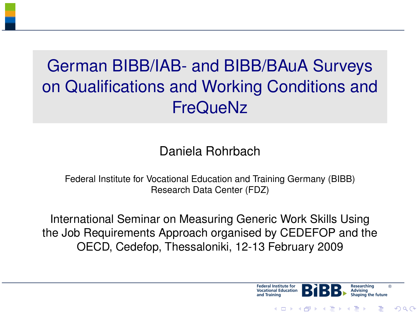## German BIBB/IAB- and BIBB/BAuA Surveys on Qualifications and Working Conditions and FreQueNz

### Daniela Rohrbach

Federal Institute for Vocational Education and Training Germany (BIBB) Research Data Center (FDZ)

International Seminar on Measuring Generic Work Skills Using the Job Requirements Approach organised by CEDEFOP and the OECD, Cedefop, Thessaloniki, 12-13 February 2009



 $\Omega$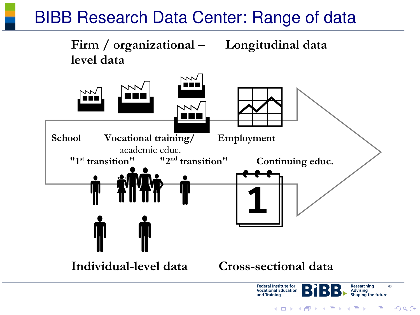### BIBB Research Data Center: Range of data

<span id="page-1-0"></span>

イロメ イ母メ イヨメ イヨメー  $QQ$ 舌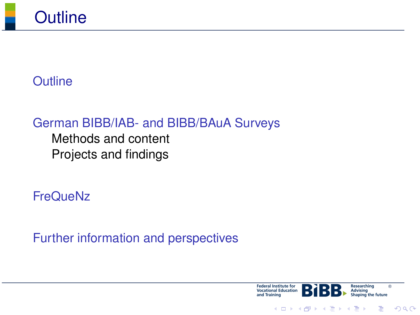

### **[Outline](#page-1-0)**

### [German BIBB/IAB- and BIBB/BAuA Surveys](#page-3-0) [Methods and content](#page-3-0)

[Projects and findings](#page-14-0)

**[FreQueNz](#page-15-0)** 

<span id="page-2-0"></span>[Further information and perspectives](#page-19-0)



 $2990$ 

∍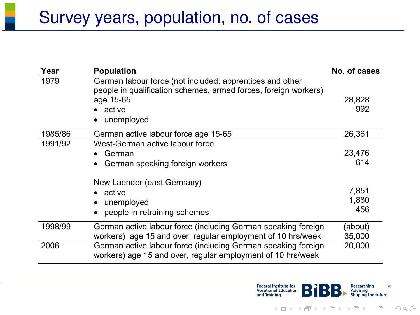### Survey years, population, no. of cases

<span id="page-3-0"></span>

| Year    | <b>Population</b>                                                                                                            | No. of cases |
|---------|------------------------------------------------------------------------------------------------------------------------------|--------------|
| 1979    | German labour force (not included: apprentices and other<br>people in qualification schemes, armed forces, foreign workers)  |              |
|         | age 15-65                                                                                                                    | 28,828       |
|         | • active                                                                                                                     | 992          |
|         | unemployed                                                                                                                   |              |
| 1985/86 | German active labour force age 15-65                                                                                         | 26,361       |
| 1991/92 | West-German active labour force                                                                                              |              |
|         | German<br>٠                                                                                                                  | 23,476       |
|         | German speaking foreign workers                                                                                              | 614          |
|         | New Laender (east Germany)                                                                                                   |              |
|         | • active                                                                                                                     | 7,851        |
|         | unemployed                                                                                                                   | 1,880        |
|         | people in retraining schemes                                                                                                 | 456          |
| 1998/99 | German active labour force (including German speaking foreign                                                                | (about)      |
|         | workers) age 15 and over, regular employment of 10 hrs/week                                                                  | 35,000       |
| 2006    | German active labour force (including German speaking foreign<br>workers) age 15 and over, regular employment of 10 hrs/week | 20,000       |



ŧ

 $299$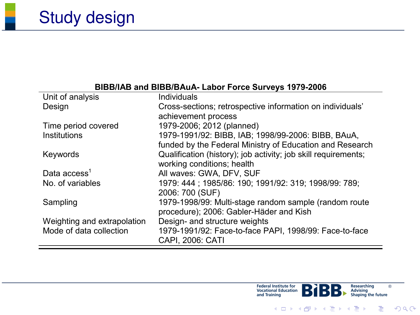# Study design

#### **BIBB/IAB and BIBB/BAuA- Labor Force Surveys 1979-2006**

| Unit of analysis            | Individuals                                                    |
|-----------------------------|----------------------------------------------------------------|
| Design                      | Cross-sections; retrospective information on individuals'      |
|                             | achievement process                                            |
| Time period covered         | 1979-2006; 2012 (planned)                                      |
| Institutions                | 1979-1991/92: BIBB, IAB; 1998/99-2006: BIBB, BAuA,             |
|                             | funded by the Federal Ministry of Education and Research       |
| Keywords                    | Qualification (history); job activity; job skill requirements; |
|                             | working conditions: health                                     |
| Data $access1$              | All waves: GWA, DFV, SUF                                       |
| No. of variables            | 1979: 444 : 1985/86: 190: 1991/92: 319: 1998/99: 789:          |
|                             | 2006: 700 (SUF)                                                |
| Sampling                    | 1979-1998/99: Multi-stage random sample (random route          |
|                             | procedure); 2006: Gabler-Häder and Kish                        |
| Weighting and extrapolation | Design- and structure weights                                  |
| Mode of data collection     | 1979-1991/92: Face-to-face PAPI, 1998/99: Face-to-face         |
|                             | CAPI, 2006: CATI                                               |



重

 $299$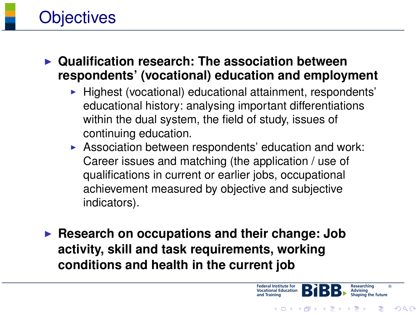

**Objectives** 

- $\blacktriangleright$  Highest (vocational) educational attainment, respondents' educational history: analysing important differentiations within the dual system, the field of study, issues of continuing education.
- $\triangleright$  Association between respondents' education and work: Career issues and matching (the application / use of qualifications in current or earlier jobs, occupational achievement measured by objective and subjective indicators).

**Federal Institute for** 

**Vocational Education** 

イロト イ押 トイヨ トイヨト

®

舌

 $QQ$ 

Researching

**EXECUTE:** Research on occupations and their change: Job **activity, skill and task requirements, working conditions and health in the current job**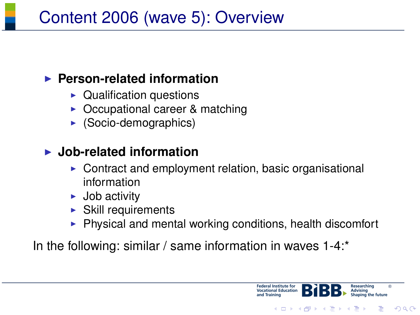## Content 2006 (wave 5): Overview

### ▶ Person-related information

- $\blacktriangleright$  Qualification questions
- Occupational career & matching
- $\triangleright$  (Socio-demographics)

### ▶ Job-related information

- $\triangleright$  Contract and employment relation, basic organisational information
- $\blacktriangleright$  Job activity
- Skill requirements
- $\blacktriangleright$  Physical and mental working conditions, health discomfort

ederal Institute for **Ocational Education** 

イロト イ押 トイヨ トイヨト

®

 $\Omega$ 

In the following: similar / same information in waves 1-4:\*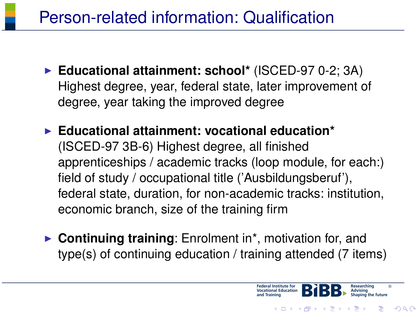- ▶ Educational attainment: school\* (ISCED-97 0-2; 3A) Highest degree, year, federal state, later improvement of degree, year taking the improved degree
- ▶ Educational attainment: vocational education<sup>\*</sup> (ISCED-97 3B-6) Highest degree, all finished apprenticeships / academic tracks (loop module, for each:) field of study / occupational title ('Ausbildungsberuf'), federal state, duration, for non-academic tracks: institution, economic branch, size of the training firm
- ▶ Continuing training: Enrolment in<sup>\*</sup>, motivation for, and type(s) of continuing education / training attended (7 items)

ederal Institute for cational Education

イロト イ押 トイヨ トイヨト

®

つくへ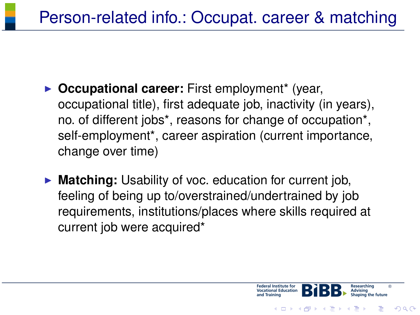- **Occupational career:** First employment\* (year, occupational title), first adequate job, inactivity (in years), no. of different jobs\*, reasons for change of occupation\*, self-employment\*, career aspiration (current importance, change over time)
- **Matching:** Usability of voc. education for current job, feeling of being up to/overstrained/undertrained by job requirements, institutions/places where skills required at current job were acquired\*



つくへ

**≮ロト ⊀何ト ⊀ ヨト ⊀ ヨト**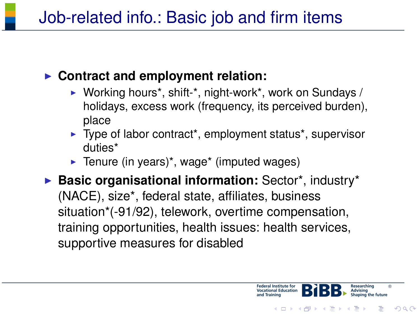### ▶ Contract and employment relation:

- $\triangleright$  Working hours<sup>\*</sup>, shift-<sup>\*</sup>, night-work<sup>\*</sup>, work on Sundays / holidays, excess work (frequency, its perceived burden), place
- $\blacktriangleright$  Type of labor contract<sup>\*</sup>, employment status<sup>\*</sup>, supervisor duties\*

ederal Institute for

**Ocational Education** 

®

э

 $2990$ 

Researching

**≮ロト (何) (日) (日)** 

 $\blacktriangleright$  Tenure (in years)<sup>\*</sup>, wage<sup>\*</sup> (imputed wages)

**Basic organisational information:** Sector\*, industry\* (NACE), size\*, federal state, affiliates, business situation\*(-91/92), telework, overtime compensation, training opportunities, health issues: health services, supportive measures for disabled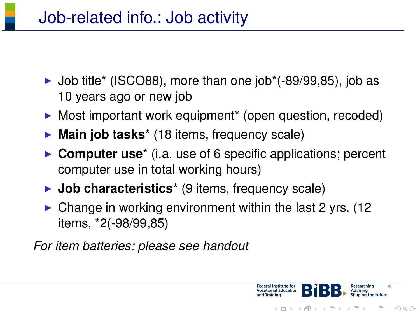- $\blacktriangleright$  Job title\* (ISCO88), more than one job\*(-89/99,85), job as 10 years ago or new job
- $\triangleright$  Most important work equipment\* (open question, recoded)
- ▶ Main job tasks<sup>\*</sup> (18 items, frequency scale)
- **► Computer use**<sup>\*</sup> (i.a. use of 6 specific applications; percent computer use in total working hours)
- ► **Job characteristics**<sup>\*</sup> (9 items, frequency scale)
- $\triangleright$  Change in working environment within the last 2 yrs. (12) items, \*2(-98/99,85)

ederal Institute for ocational Education

イロト イ押 トイヨ トイヨト

®

 $\Omega$ 

*For item batteries: please see handout*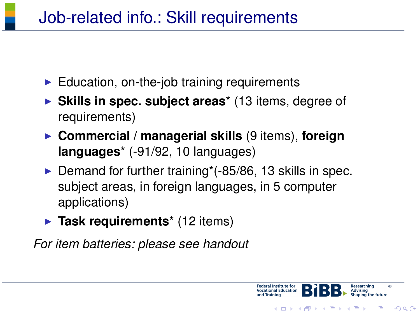- $\blacktriangleright$  Education, on-the-job training requirements
- ▶ Skills in spec. subject areas<sup>\*</sup> (13 items, degree of requirements)
- ▶ Commercial / managerial skills (9 items), foreign **languages**\* (-91/92, 10 languages)
- $\triangleright$  Demand for further training\*(-85/86, 13 skills in spec. subject areas, in foreign languages, in 5 computer applications)

ederal Institute for

**Ocational Education** 

®

舌

 $2990$ 

Researching

イロメ イ何メ イヨメ イヨメー

► Task requirements<sup>\*</sup> (12 items)

*For item batteries: please see handout*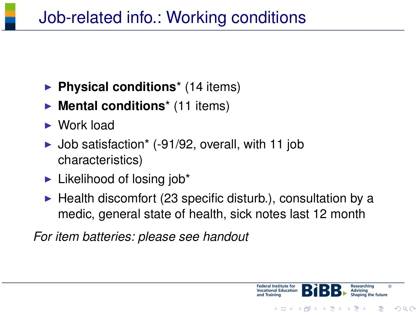- **Physical conditions**<sup>\*</sup> (14 items)
- **Mental conditions**<sup>\*</sup> (11 items)
- $\triangleright$  Work load
- $\blacktriangleright$  Job satisfaction\* (-91/92, overall, with 11 job characteristics)
- $\blacktriangleright$  Likelihood of losing job\*
- $\blacktriangleright$  Health discomfort (23 specific disturb.), consultation by a medic, general state of health, sick notes last 12 month

*For item batteries: please see handout*



 $\Omega$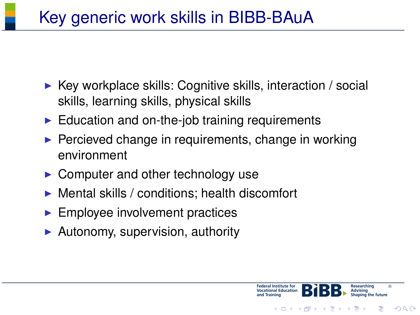# Key generic work skills in BIBB-BAuA

- $\triangleright$  Key workplace skills: Cognitive skills, interaction / social skills, learning skills, physical skills
- $\blacktriangleright$  Education and on-the-job training requirements
- $\blacktriangleright$  Percieved change in requirements, change in working environment
- $\triangleright$  Computer and other technology use
- $\triangleright$  Mental skills / conditions; health discomfort
- $\blacktriangleright$  Employee involvement practices
- <span id="page-13-0"></span> $\blacktriangleright$  Autonomy, supervision, authority



 $\Omega$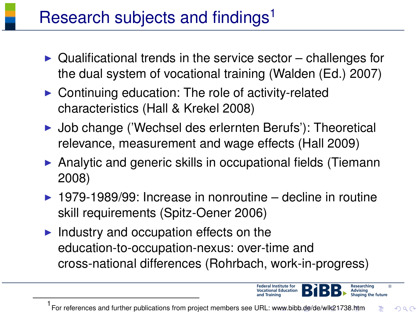## Research subjects and findings<sup>1</sup>

- $\triangleright$  Qualificational trends in the service sector challenges for the dual system of vocational training (Walden (Ed.) 2007)
- $\triangleright$  Continuing education: The role of activity-related characteristics (Hall & Krekel 2008)
- ▶ Job change ('Wechsel des erlernten Berufs'): Theoretical relevance, measurement and wage effects (Hall 2009)
- $\triangleright$  Analytic and generic skills in occupational fields (Tiemann 2008)
- $\triangleright$  1979-1989/99: Increase in nonroutine decline in routine skill requirements (Spitz-Oener 2006)
- $\blacktriangleright$  Industry and occupation effects on the education-to-occupation-nexus: over-time and cross-national differences (Rohrbach, work-in-progress)

<span id="page-14-0"></span>1 For references and further publications from project members see URL: [ww](#page-13-0)w[.bib](#page-15-0)[b.](#page-13-0)[de/](#page-14-0)[de](#page-15-0)[/w](#page-13-0)[lk2](#page-14-0)[17](#page-15-0)[38](#page-2-0)[.h](#page-3-0)[tm](#page-14-0)  $\Omega$ 

ederal Institute for

®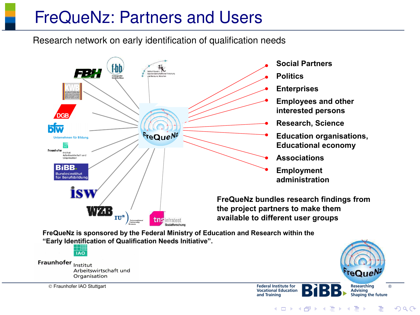### FreQueNz: Partners and Users

Research network on early identification of qualification needs



**FreQueNz is sponsored by the Federal Ministry of Education and Research within the "Early Identification of Qualification Needs Initiative".**

 $\overline{100}$ Fraunhofer Institut Arbeitswirtschaft und Organisation

<span id="page-15-0"></span>Fraunhofer IAO Stuttgart



 $QQ$ 

**≮ロト ⊀何ト ⊀ ヨト ⊀ ヨト** 

and Training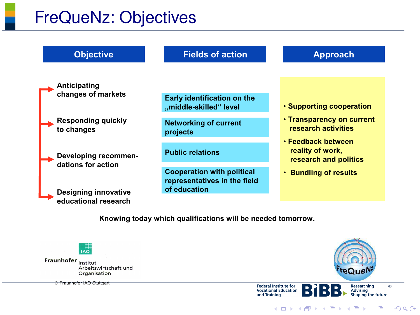### FreQueNz: Objectives



**Knowing today which qualifications will be needed tomorrow.**



Fraunhofer Institut Arbeitswirtschaft und Organisation

Fraunhofer IAO Stuttgart



Researching

®

E

 $299$ 

**Vocational Education Advising**<br>Shaping the future and Training イロト イ押 トイヨ トイヨト

**Federal Institute for**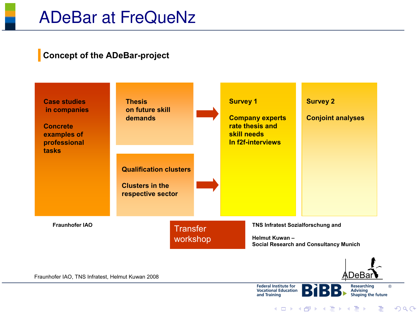#### **Concept of the ADeBar-project**



and Training

 $\equiv$ 

 $QQ$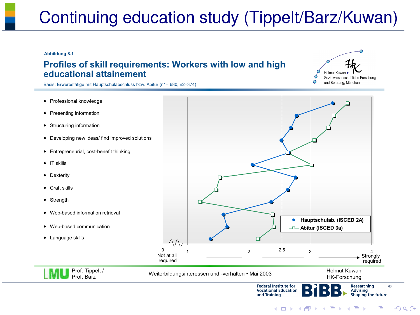# Continuing education study (Tippelt/Barz/Kuwan)

#### **Abbildung 8.1**

#### **Profiles of skill requirements: Workers with low and high educational attainement**



Basis: Erwerbstätige mit Hauptschulabschluss bzw. Abitur (n1= 680, n2=374)

- Professional knowledge
- Presenting information
- Structuring information
- Developing new ideas/ find improved solutions
- Entrepreneurial, cost-benefit thinking
- IT skills
- Dexterity
- Craft skills
- Strength
- Web-based information retrieval

Prof. Tippelt / Prof. Barz

- Web-based communication
- Language skills



**Federal Institute for** Researching **Vocational Education** Advising Shaping the future and Training イロト イ押 トイヨ トイヨト

®

 $2990$ 

 $\equiv$